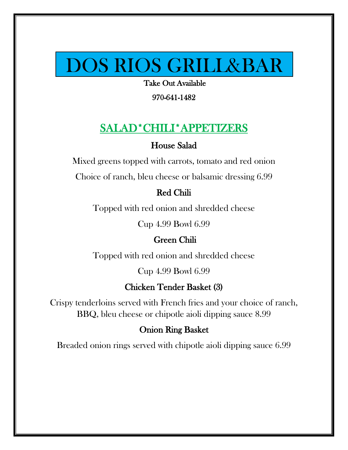# DOS RIOS GRILL&BAR

Take Out Available<br>970-641-1482

970-641-1482

# SALAD\*CHILI\*APPETIZERS

#### House Salad

Mixed greens topped with carrots, tomato and red onion

Choice of ranch, bleu cheese or balsamic dressing 6.99

#### Red Chili

Topped with red onion and shredded cheese

Cup 4.99 Bowl 6.99

#### Green Chili

Topped with red onion and shredded cheese

Cup 4.99 Bowl 6.99

#### Chicken Tender Basket (3)

Crispy tenderloins served with French fries and your choice of ranch, BBQ, bleu cheese or chipotle aioli dipping sauce 8.99

#### Onion Ring Basket

Breaded onion rings served with chipotle aioli dipping sauce 6.99